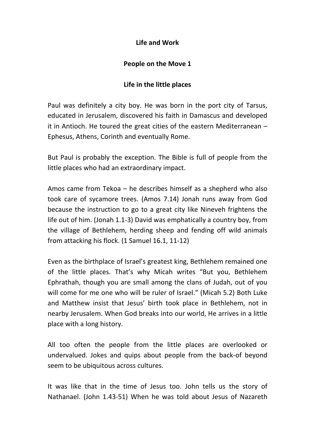## **Life and Work**

## **People on the Move 1**

## **Life in the little places**

Paul was definitely a city boy. He was born in the port city of Tarsus, educated in Jerusalem, discovered his faith in Damascus and developed it in Antioch. He toured the great cities of the eastern Mediterranean – Ephesus, Athens, Corinth and eventually Rome.

But Paul is probably the exception. The Bible is full of people from the little places who had an extraordinary impact.

Amos came from Tekoa – he describes himself as a shepherd who also took care of sycamore trees. (Amos 7.14) Jonah runs away from God because the instruction to go to a great city like Nineveh frightens the life out of him. (Jonah 1.1-3) David was emphatically a country boy, from the village of Bethlehem, herding sheep and fending off wild animals from attacking his flock. (1 Samuel 16.1, 11-12)

Even as the birthplace of Israel's greatest king, Bethlehem remained one of the little places. That's why Micah writes "But you, Bethlehem Ephrathah, though you are small among the clans of Judah, out of you will come for me one who will be ruler of Israel." (Micah 5.2) Both Luke and Matthew insist that Jesus' birth took place in Bethlehem, not in nearby Jerusalem. When God breaks into our world, He arrives in a little place with a long history.

All too often the people from the little places are overlooked or undervalued. Jokes and quips about people from the back-of beyond seem to be ubiquitous across cultures.

It was like that in the time of Jesus too. John tells us the story of Nathanael. (John 1.43-51) When he was told about Jesus of Nazareth